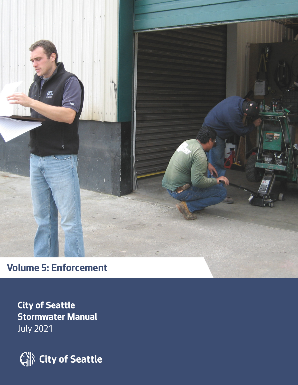

**City of Seattle Stormwater Manual** July 2021

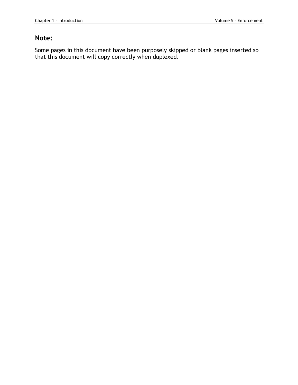#### **Note:**

Some pages in this document have been purposely skipped or blank pages inserted so that this document will copy correctly when duplexed.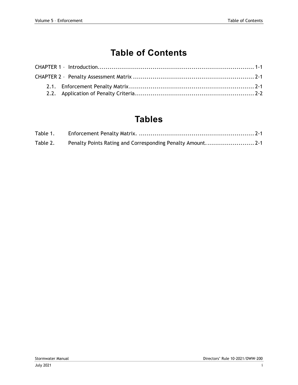## **Table of Contents**

### **Tables**

| Table 1. |                                                            |  |
|----------|------------------------------------------------------------|--|
| Table 2. | Penalty Points Rating and Corresponding Penalty Amount 2-1 |  |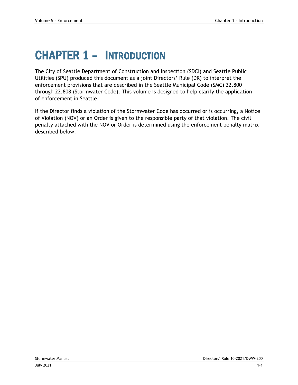# <span id="page-4-0"></span>CHAPTER 1 – INTRODUCTION

The City of Seattle Department of Construction and Inspection (SDCI) and Seattle Public Utilities (SPU) produced this document as a joint Directors' Rule (DR) to interpret the enforcement provisions that are described in the Seattle Municipal Code (SMC) 22.800 through 22.808 (Stormwater Code). This volume is designed to help clarify the application of enforcement in Seattle.

If the Director finds a violation of the Stormwater Code has occurred or is occurring, a Notice of Violation (NOV) or an Order is given to the responsible party of that violation. The civil penalty attached with the NOV or Order is determined using the enforcement penalty matrix described below.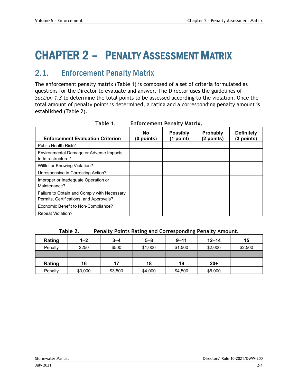# <span id="page-6-0"></span>CHAPTER 2 – PENALTY ASSESSMENT MATRIX

### <span id="page-6-1"></span>2.1. Enforcement Penalty Matrix

The enforcement penalty matrix (Table 1) is composed of a set of criteria formulated as questions for the Director to evaluate and answer. The Director uses the guidelines of *Section 1.3* to determine the total points to be assessed according to the violation. Once the total amount of penalty points is determined, a rating and a corresponding penalty amount is established (Table 2).

<span id="page-6-2"></span>

| Table 1.<br><b>Enforcement Penalty Matrix.</b>                                         |                         |                                |                               |                                 |
|----------------------------------------------------------------------------------------|-------------------------|--------------------------------|-------------------------------|---------------------------------|
| <b>Enforcement Evaluation Criterion</b>                                                | <b>No</b><br>(0 points) | <b>Possibly</b><br>$(1$ point) | <b>Probably</b><br>(2 points) | <b>Definitely</b><br>(3 points) |
| Public Health Risk?                                                                    |                         |                                |                               |                                 |
| Environmental Damage or Adverse Impacts<br>to Infrastructure?                          |                         |                                |                               |                                 |
| Willful or Knowing Violation?                                                          |                         |                                |                               |                                 |
| Unresponsive in Correcting Action?                                                     |                         |                                |                               |                                 |
| Improper or Inadequate Operation or<br>Maintenance?                                    |                         |                                |                               |                                 |
| Failure to Obtain and Comply with Necessary<br>Permits, Certifications, and Approvals? |                         |                                |                               |                                 |
| Economic Benefit to Non-Compliance?                                                    |                         |                                |                               |                                 |
| <b>Repeat Violation?</b>                                                               |                         |                                |                               |                                 |

| Table 2. | Penalty Points Rating and Corresponding Penalty Amount. |  |
|----------|---------------------------------------------------------|--|
|          |                                                         |  |

<span id="page-6-3"></span>

| Rating  | $1 - 2$ | $3 - 4$ | $5 - 8$ | $9 - 11$ | $12 - 14$ | 15      |
|---------|---------|---------|---------|----------|-----------|---------|
| Penalty | \$250   | \$500   | \$1,000 | \$1,500  | \$2,000   | \$2,500 |
|         |         |         |         |          |           |         |
| Rating  | 16      | 17      | 18      | 19       | $20+$     |         |
| Penalty | \$3,000 | \$3,500 | \$4,000 | \$4,500  | \$5,000   |         |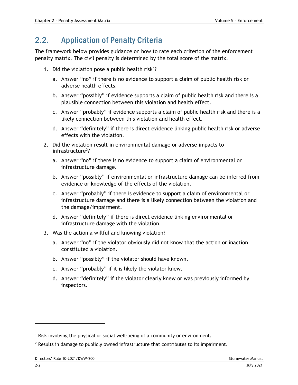### <span id="page-7-0"></span>2.2. Application of Penalty Criteria

The framework below provides guidance on how to rate each criterion of the enforcement penalty matrix. The civil penalty is determined by the total score of the matrix.

- 1. Did the violation pose a public health risk<sup>1</sup>?
	- a. Answer "no" if there is no evidence to support a claim of public health risk or adverse health effects.
	- b. Answer "possibly" if evidence supports a claim of public health risk and there is a plausible connection between this violation and health effect.
	- c. Answer "probably" if evidence supports a claim of public health risk and there is a likely connection between this violation and health effect.
	- d. Answer "definitely" if there is direct evidence linking public health risk or adverse effects with the violation.
- 2. Did the violation result in environmental damage or adverse impacts to infrastructure<sup>2</sup>?
	- a. Answer "no" if there is no evidence to support a claim of environmental or infrastructure damage.
	- b. Answer "possibly" if environmental or infrastructure damage can be inferred from evidence or knowledge of the effects of the violation.
	- c. Answer "probably" if there is evidence to support a claim of environmental or infrastructure damage and there is a likely connection between the violation and the damage/impairment.
	- d. Answer "definitely" if there is direct evidence linking environmental or infrastructure damage with the violation.
- 3. Was the action a willful and knowing violation?
	- a. Answer "no" if the violator obviously did not know that the action or inaction constituted a violation.
	- b. Answer "possibly" if the violator should have known.
	- c. Answer "probably" if it is likely the violator knew.
	- d. Answer "definitely" if the violator clearly knew or was previously informed by inspectors.

<span id="page-7-1"></span><sup>1</sup> Risk involving the physical or social well-being of a community or environment.

<span id="page-7-2"></span> $<sup>2</sup>$  Results in damage to publicly owned infrastructure that contributes to its impairment.</sup>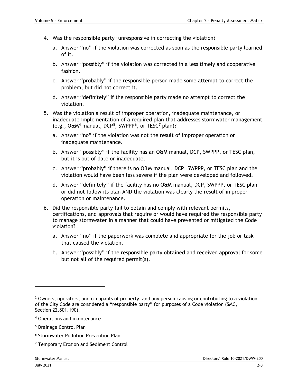- 4. Was the responsible party<sup>[3](#page-8-0)</sup> unresponsive in correcting the violation?
	- a. Answer "no" if the violation was corrected as soon as the responsible party learned of it.
	- b. Answer "possibly" if the violation was corrected in a less timely and cooperative fashion.
	- c. Answer "probably" if the responsible person made some attempt to correct the problem, but did not correct it.
	- d. Answer "definitely" if the responsible party made no attempt to correct the violation.
- 5. Was the violation a result of improper operation, inadequate maintenance, or inadequate implementation of a required plan that addresses stormwater management (e.g., O&M[4](#page-8-1) manual, DCP[5](#page-8-2), SWPPP[6,](#page-8-3) or TESC[7](#page-8-4) plan)?
	- a. Answer "no" if the violation was not the result of improper operation or inadequate maintenance.
	- b. Answer "possibly" if the facility has an O&M manual, DCP, SWPPP, or TESC plan, but it is out of date or inadequate.
	- c. Answer "probably" if there is no O&M manual, DCP, SWPPP, or TESC plan and the violation would have been less severe if the plan were developed and followed.
	- d. Answer "definitely" if the facility has no O&M manual, DCP, SWPPP, or TESC plan or did not follow its plan AND the violation was clearly the result of improper operation or maintenance.
- 6. Did the responsible party fail to obtain and comply with relevant permits, certifications, and approvals that require or would have required the responsible party to manage stormwater in a manner that could have prevented or mitigated the Code violation?
	- a. Answer "no" if the paperwork was complete and appropriate for the job or task that caused the violation.
	- b. Answer "possibly" if the responsible party obtained and received approval for some but not all of the required permit(s).

- <span id="page-8-1"></span><sup>4</sup> Operations and maintenance
- <span id="page-8-2"></span><sup>5</sup> Drainage Control Plan
- <span id="page-8-3"></span><sup>6</sup> Stormwater Pollution Prevention Plan
- <span id="page-8-4"></span><sup>7</sup> Temporary Erosion and Sediment Control

<span id="page-8-0"></span><sup>3</sup> Owners, operators, and occupants of property, and any person causing or contributing to a violation of the City Code are considered a "responsible party" for purposes of a Code violation (SMC, Section 22.801.190).